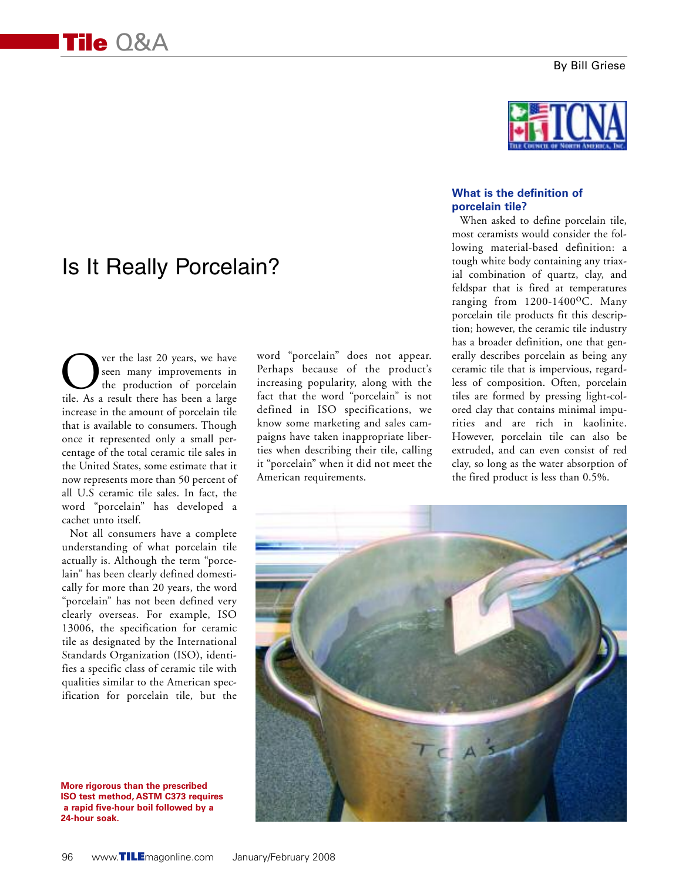#### By Bill Griese

# Is It Really Porcelain?

ver the last 20 years, we have seen many improvements in the production of porcelain tile. As a result there has been a large increase in the amount of porcelain tile that is available to consumers. Though once it represented only a small percentage of the total ceramic tile sales in the United States, some estimate that it now represents more than 50 percent of all U.S ceramic tile sales. In fact, the word "porcelain" has developed a cachet unto itself.

Not all consumers have a complete understanding of what porcelain tile actually is. Although the term "porcelain" has been clearly defined domestically for more than 20 years, the word "porcelain" has not been defined very clearly overseas. For example, ISO 13006, the specification for ceramic tile as designated by the International Standards Organization (ISO), identifies a specific class of ceramic tile with qualities similar to the American specification for porcelain tile, but the

**More rigorous than the prescribed ISO test method, ASTM C373 requires a rapid five-hour boil followed by a 24-hour soak.**

word "porcelain" does not appear. Perhaps because of the product's increasing popularity, along with the fact that the word "porcelain" is not defined in ISO specifications, we know some marketing and sales campaigns have taken inappropriate liberties when describing their tile, calling it "porcelain" when it did not meet the American requirements.



## **What is the definition of porcelain tile?**

When asked to define porcelain tile, most ceramists would consider the following material-based definition: a tough white body containing any triaxial combination of quartz, clay, and feldspar that is fired at temperatures ranging from 1200-1400°C. Many porcelain tile products fit this description; however, the ceramic tile industry has a broader definition, one that generally describes porcelain as being any ceramic tile that is impervious, regardless of composition. Often, porcelain tiles are formed by pressing light-colored clay that contains minimal impurities and are rich in kaolinite. However, porcelain tile can also be extruded, and can even consist of red clay, so long as the water absorption of the fired product is less than 0.5%.